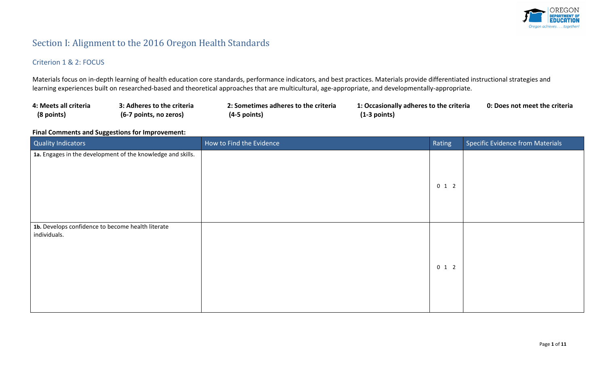

# Section I: Alignment to the 2016 Oregon Health Standards

### Criterion 1 & 2: FOCUS

Materials focus on in-depth learning of health education core standards, performance indicators, and best practices. Materials provide differentiated instructional strategies and learning experiences built on researched-based and theoretical approaches that are multicultural, age-appropriate, and developmentally-appropriate.

| 4: Meets all criteria | 3: Adheres to the criteria | 2: Sometimes adheres to the criteria | 1: Occasionally adheres to the criteria | 0: Does not meet the criteria |
|-----------------------|----------------------------|--------------------------------------|-----------------------------------------|-------------------------------|
| (8 points)            | (6-7 points, no zeros)     | -5 points)<br>14-                    | 3 points)                               |                               |

| <b>Quality Indicators</b>                                         | How to Find the Evidence | Rating  | Specific Evidence from Materials |
|-------------------------------------------------------------------|--------------------------|---------|----------------------------------|
| 1a. Engages in the development of the knowledge and skills.       |                          | $0$ 1 2 |                                  |
| 1b. Develops confidence to become health literate<br>individuals. |                          | $0$ 1 2 |                                  |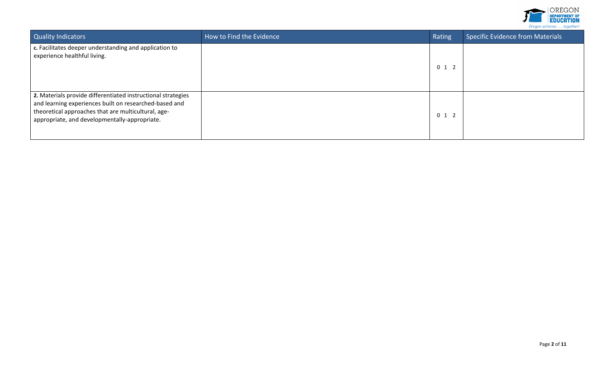

| <b>Quality Indicators</b>                                                                                                                                                                                                      | How to Find the Evidence | Rating  | <b>Specific Evidence from Materials</b> |
|--------------------------------------------------------------------------------------------------------------------------------------------------------------------------------------------------------------------------------|--------------------------|---------|-----------------------------------------|
| c. Facilitates deeper understanding and application to<br>experience healthful living.                                                                                                                                         |                          | $0$ 1 2 |                                         |
| 2. Materials provide differentiated instructional strategies<br>and learning experiences built on researched-based and<br>theoretical approaches that are multicultural, age-<br>appropriate, and developmentally-appropriate. |                          | $0$ 1 2 |                                         |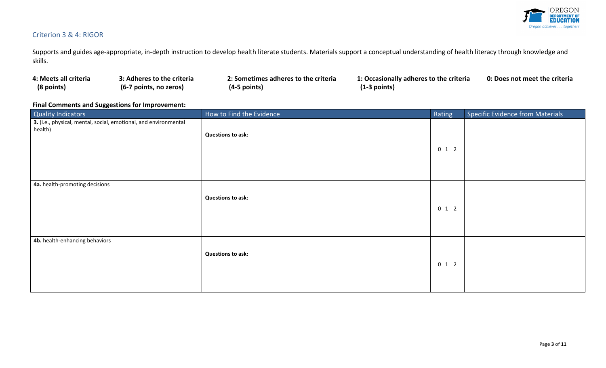

### Criterion 3 & 4: RIGOR

Supports and guides age-appropriate, in-depth instruction to develop health literate students. Materials support a conceptual understanding of health literacy through knowledge and skills.

| 4: Meets all criteria | 3: Adheres to the criteria | 2: Sometimes adheres to the criteria | 1: Occasionally adheres to the criteria | 0: Does not meet the criteria |
|-----------------------|----------------------------|--------------------------------------|-----------------------------------------|-------------------------------|
| (8 points)            | (6-7 points, no zeros)     | $(4-5$ points)                       | (1-3 points)                            |                               |

| <b>Quality Indicators</b>                                                           | How to Find the Evidence | Rating  | Specific Evidence from Materials |
|-------------------------------------------------------------------------------------|--------------------------|---------|----------------------------------|
| $\vert$ 3. (i.e., physical, mental, social, emotional, and environmental<br>health) | <b>Questions to ask:</b> | $0$ 1 2 |                                  |
| 4a. health-promoting decisions                                                      |                          |         |                                  |
|                                                                                     | <b>Questions to ask:</b> | $0$ 1 2 |                                  |
| 4b. health-enhancing behaviors                                                      |                          |         |                                  |
|                                                                                     | <b>Questions to ask:</b> | $0$ 1 2 |                                  |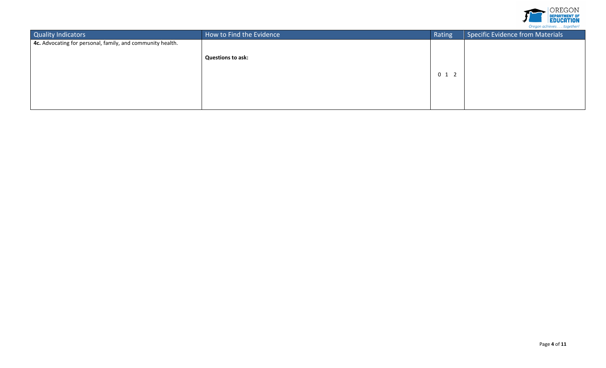

| Quality Indicators                                         | How to Find the Evidence | Rating  | Specific Evidence from Materials |
|------------------------------------------------------------|--------------------------|---------|----------------------------------|
| 4c. Advocating for personal, family, and community health. |                          |         |                                  |
|                                                            | <b>Questions to ask:</b> | $0$ 1 2 |                                  |
|                                                            |                          |         |                                  |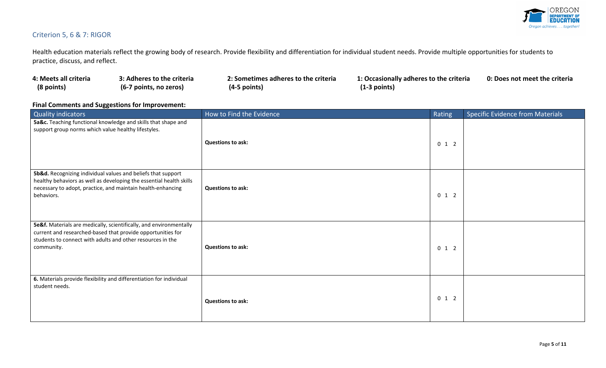

### Criterion 5, 6 & 7: RIGOR

Health education materials reflect the growing body of research. Provide flexibility and differentiation for individual student needs. Provide multiple opportunities for students to practice, discuss, and reflect.

| 4: Meets all criteria | ': Adheres to the criteria | !: Sometimes adheres to the criteria | 1: Occasionally adheres to the criteria | 0: Does not meet the criteria |
|-----------------------|----------------------------|--------------------------------------|-----------------------------------------|-------------------------------|
| (8 points)            | (6-7 points, no zeros)     | $(4-5$ points)                       | 1-3 points)                             |                               |

| Quality indicators                                                                                                                                                                                               | How to Find the Evidence | Rating  | <b>Specific Evidence from Materials</b> |
|------------------------------------------------------------------------------------------------------------------------------------------------------------------------------------------------------------------|--------------------------|---------|-----------------------------------------|
| 5a&c. Teaching functional knowledge and skills that shape and<br>support group norms which value healthy lifestyles.                                                                                             | <b>Questions to ask:</b> | $0$ 1 2 |                                         |
| 5b&d. Recognizing individual values and beliefs that support<br>healthy behaviors as well as developing the essential health skills<br>necessary to adopt, practice, and maintain health-enhancing<br>behaviors. | <b>Questions to ask:</b> | $0$ 1 2 |                                         |
| 5e&f. Materials are medically, scientifically, and environmentally<br>current and researched-based that provide opportunities for<br>students to connect with adults and other resources in the<br>community.    | <b>Questions to ask:</b> | $0$ 1 2 |                                         |
| 6. Materials provide flexibility and differentiation for individual<br>student needs.                                                                                                                            | <b>Questions to ask:</b> | $0$ 1 2 |                                         |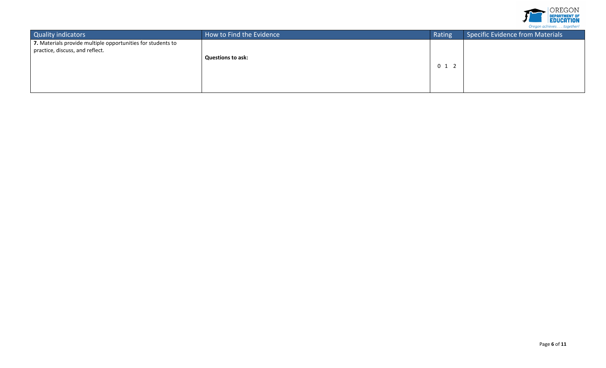

| <b>Quality indicators</b>                                                                      | How to Find the Evidence | Rating  | Specific Evidence from Materials |
|------------------------------------------------------------------------------------------------|--------------------------|---------|----------------------------------|
| 7. Materials provide multiple opportunities for students to<br>practice, discuss, and reflect. | <b>Questions to ask:</b> | $0$ 1 2 |                                  |
|                                                                                                |                          |         |                                  |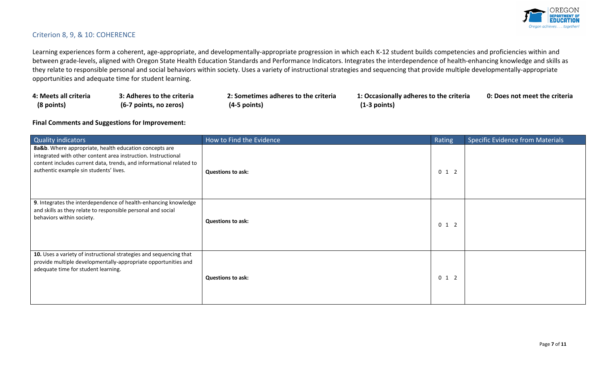

### Criterion 8, 9, & 10: COHERENCE

Learning experiences form a coherent, age-appropriate, and developmentally-appropriate progression in which each K-12 student builds competencies and proficiencies within and between grade-levels, aligned with Oregon State Health Education Standards and Performance Indicators. Integrates the interdependence of health-enhancing knowledge and skills as they relate to responsible personal and social behaviors within society. Uses a variety of instructional strategies and sequencing that provide multiple developmentally-appropriate opportunities and adequate time for student learning.

| 4: Meets all criteria | 3: Adheres to the criteria | 2: Sometimes adheres to the criteria | 1: Occasionally adheres to the criteria | 0: Does not meet the criteria |
|-----------------------|----------------------------|--------------------------------------|-----------------------------------------|-------------------------------|
| (8 points)            | (6-7 points, no zeros)     | $(4-5$ points)                       | $(1-3$ points)                          |                               |

| <b>Quality indicators</b>                                                                                                                                                                                                                | How to Find the Evidence | Rating  | <b>Specific Evidence from Materials</b> |
|------------------------------------------------------------------------------------------------------------------------------------------------------------------------------------------------------------------------------------------|--------------------------|---------|-----------------------------------------|
| 8a&b. Where appropriate, health education concepts are<br>integrated with other content area instruction. Instructional<br>content includes current data, trends, and informational related to<br>authentic example sin students' lives. | <b>Questions to ask:</b> | $0$ 1 2 |                                         |
| 9. Integrates the interdependence of health-enhancing knowledge<br>and skills as they relate to responsible personal and social<br>behaviors within society.                                                                             | <b>Questions to ask:</b> | $0$ 1 2 |                                         |
| 10. Uses a variety of instructional strategies and sequencing that<br>provide multiple developmentally-appropriate opportunities and<br>adequate time for student learning.                                                              | <b>Questions to ask:</b> | $0$ 1 2 |                                         |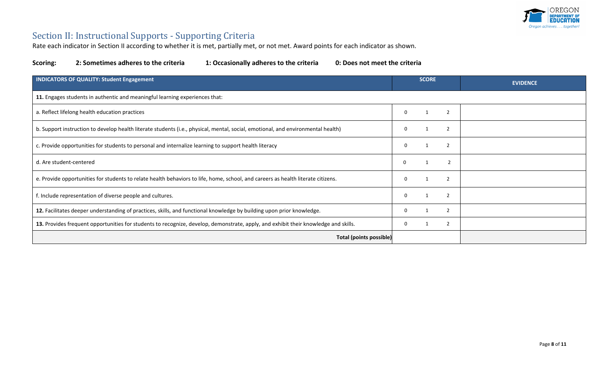

# Section II: Instructional Supports - Supporting Criteria

Rate each indicator in Section II according to whether it is met, partially met, or not met. Award points for each indicator as shown.

| <b>INDICATORS OF QUALITY: Student Engagement</b>                                                                                    | <b>SCORE</b>               | <b>EVIDENCE</b> |
|-------------------------------------------------------------------------------------------------------------------------------------|----------------------------|-----------------|
| 11. Engages students in authentic and meaningful learning experiences that:                                                         |                            |                 |
| a. Reflect lifelong health education practices                                                                                      | $\overline{2}$<br>0        |                 |
| b. Support instruction to develop health literate students (i.e., physical, mental, social, emotional, and environmental health)    | $\overline{2}$<br>$\Omega$ |                 |
| c. Provide opportunities for students to personal and internalize learning to support health literacy                               | $\overline{2}$<br>$\Omega$ |                 |
| d. Are student-centered                                                                                                             | $\overline{2}$<br>0        |                 |
| e. Provide opportunities for students to relate health behaviors to life, home, school, and careers as health literate citizens.    | $\overline{2}$<br>$\Omega$ |                 |
| f. Include representation of diverse people and cultures.                                                                           | $\overline{2}$<br>$\Omega$ |                 |
| 12. Facilitates deeper understanding of practices, skills, and functional knowledge by building upon prior knowledge.               | $\overline{2}$<br>0        |                 |
| 13. Provides frequent opportunities for students to recognize, develop, demonstrate, apply, and exhibit their knowledge and skills. | $\overline{2}$<br>0<br>-1  |                 |
| <b>Total (points possible)</b>                                                                                                      |                            |                 |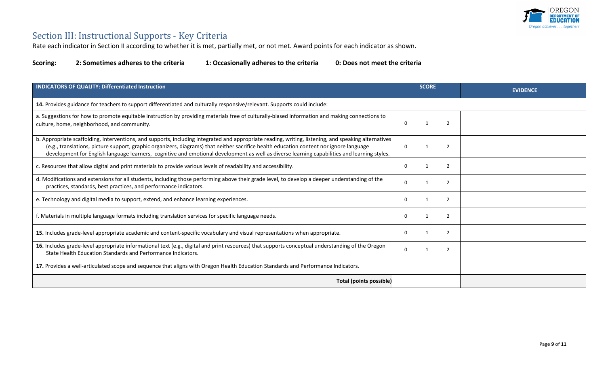

# Section III: Instructional Supports - Key Criteria

Rate each indicator in Section II according to whether it is met, partially met, or not met. Award points for each indicator as shown.

| <b>INDICATORS OF QUALITY: Differentiated Instruction</b>                                                                                                                                                                                                                                                                                                                                                                                        | <b>SCORE</b> |                          |                | <b>EVIDENCE</b> |
|-------------------------------------------------------------------------------------------------------------------------------------------------------------------------------------------------------------------------------------------------------------------------------------------------------------------------------------------------------------------------------------------------------------------------------------------------|--------------|--------------------------|----------------|-----------------|
| 14. Provides guidance for teachers to support differentiated and culturally responsive/relevant. Supports could include:                                                                                                                                                                                                                                                                                                                        |              |                          |                |                 |
| a. Suggestions for how to promote equitable instruction by providing materials free of culturally-biased information and making connections to<br>culture, home, neighborhood, and community.                                                                                                                                                                                                                                                   | 0            |                          | 2              |                 |
| b. Appropriate scaffolding, Interventions, and supports, including integrated and appropriate reading, writing, listening, and speaking alternatives<br>(e.g., translations, picture support, graphic organizers, diagrams) that neither sacrifice health education content nor ignore language<br>development for English language learners, cognitive and emotional development as well as diverse learning capabilities and learning styles. | 0            |                          | $\mathcal{P}$  |                 |
| c. Resources that allow digital and print materials to provide various levels of readability and accessibility.                                                                                                                                                                                                                                                                                                                                 | 0            |                          | 2              |                 |
| d. Modifications and extensions for all students, including those performing above their grade level, to develop a deeper understanding of the<br>practices, standards, best practices, and performance indicators.                                                                                                                                                                                                                             | $\Omega$     | - 1                      | $\mathcal{P}$  |                 |
| e. Technology and digital media to support, extend, and enhance learning experiences.                                                                                                                                                                                                                                                                                                                                                           | $\Omega$     | $\overline{\phantom{a}}$ | $\mathcal{P}$  |                 |
| f. Materials in multiple language formats including translation services for specific language needs.                                                                                                                                                                                                                                                                                                                                           | $\Omega$     |                          | $\mathcal{P}$  |                 |
| 15. Includes grade-level appropriate academic and content-specific vocabulary and visual representations when appropriate.                                                                                                                                                                                                                                                                                                                      | 0            |                          | $\overline{2}$ |                 |
| 16. Includes grade-level appropriate informational text (e.g., digital and print resources) that supports conceptual understanding of the Oregon<br>State Health Education Standards and Performance Indicators.                                                                                                                                                                                                                                | 0            |                          | 2              |                 |
| 17. Provides a well-articulated scope and sequence that aligns with Oregon Health Education Standards and Performance Indicators.                                                                                                                                                                                                                                                                                                               |              |                          |                |                 |
| Total (points possible)                                                                                                                                                                                                                                                                                                                                                                                                                         |              |                          |                |                 |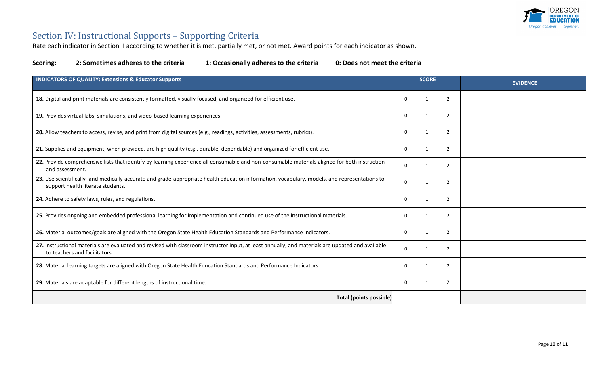

# Section IV: Instructional Supports – Supporting Criteria

Rate each indicator in Section II according to whether it is met, partially met, or not met. Award points for each indicator as shown.

| <b>INDICATORS OF QUALITY: Extensions &amp; Educator Supports</b>                                                                                                                   | <b>SCORE</b>                        | <b>EVIDENCE</b> |
|------------------------------------------------------------------------------------------------------------------------------------------------------------------------------------|-------------------------------------|-----------------|
| 18. Digital and print materials are consistently formatted, visually focused, and organized for efficient use.                                                                     | 0<br>2                              |                 |
| 19. Provides virtual labs, simulations, and video-based learning experiences.                                                                                                      | 2<br>0                              |                 |
| 20. Allow teachers to access, revise, and print from digital sources (e.g., readings, activities, assessments, rubrics).                                                           | $\overline{2}$<br>0                 |                 |
| 21. Supplies and equipment, when provided, are high quality (e.g., durable, dependable) and organized for efficient use.                                                           | $\overline{2}$<br>0                 |                 |
| 22. Provide comprehensive lists that identify by learning experience all consumable and non-consumable materials aligned for both instruction<br>and assessment.                   | 2<br>0                              |                 |
| 23. Use scientifically- and medically-accurate and grade-appropriate health education information, vocabulary, models, and representations to<br>support health literate students. | $\overline{2}$<br>$\Omega$          |                 |
| 24. Adhere to safety laws, rules, and regulations.                                                                                                                                 | 0<br>2                              |                 |
| 25. Provides ongoing and embedded professional learning for implementation and continued use of the instructional materials.                                                       | 0<br>2                              |                 |
| 26. Material outcomes/goals are aligned with the Oregon State Health Education Standards and Performance Indicators.                                                               | $\overline{2}$<br>0                 |                 |
| 27. Instructional materials are evaluated and revised with classroom instructor input, at least annually, and materials are updated and available<br>to teachers and facilitators. | $\Omega$<br>$\overline{2}$          |                 |
| 28. Material learning targets are aligned with Oregon State Health Education Standards and Performance Indicators.                                                                 | $\overline{2}$<br>0<br>$\mathbf{1}$ |                 |
| 29. Materials are adaptable for different lengths of instructional time.                                                                                                           | $\overline{2}$<br>0<br>$\mathbf 1$  |                 |
| <b>Total (points possible)</b>                                                                                                                                                     |                                     |                 |